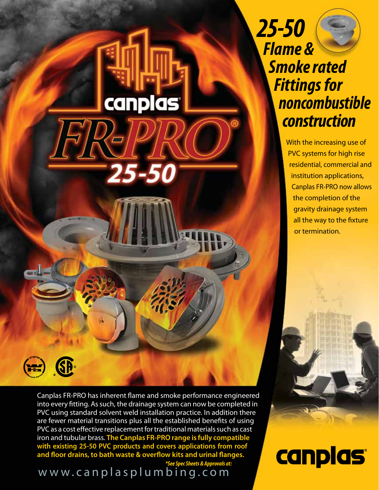*25-50 Flame & Smoke rated Fittings for noncombustible construction*

> With the increasing use of PVC systems for high rise residential, commercial and institution applications, Canplas FR-PRO now allows the completion of the gravity drainage system all the way to the fixture or termination.

*\**

Canplas FR-PRO has inherent flame and smoke performance engineered into every fitting. As such, the drainage system can now be completed in PVC using standard solvent weld installation practice. In addition there are fewer material transitions plus all the established benefits of using PVC as a cost effective replacement for traditional materials such as cast iron and tubular brass. **The Canplas FR-PRO range is fully compatible with existing 25-50 PVC products and covers applications from roof and floor drains, to bath waste & overflow kits and urinal flanges.**

canplas

25-50

www.canplasplumbing.com *\*See Spec Sheets & Approvals at:*  canplas